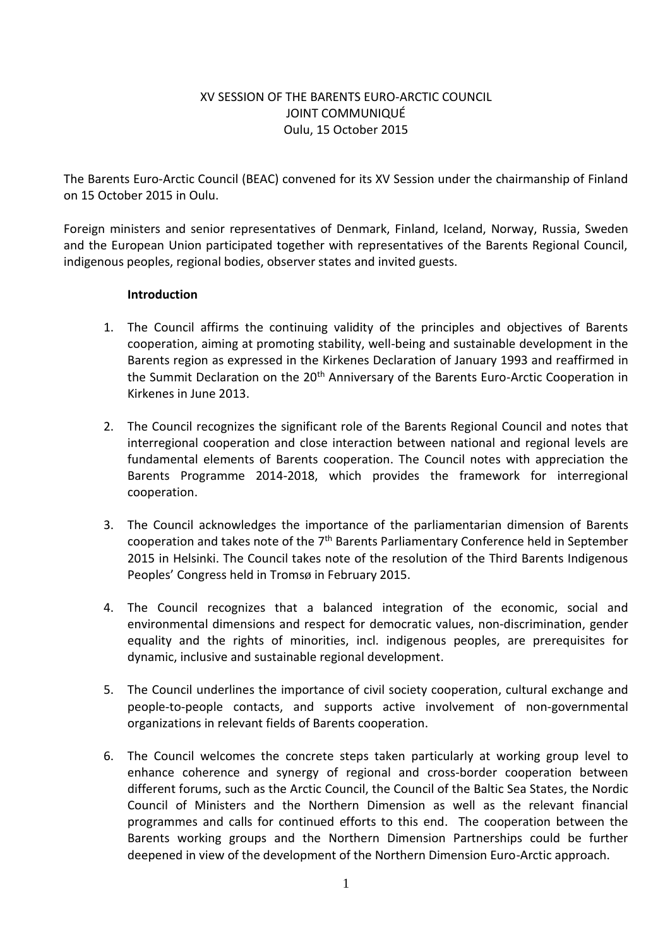# XV SESSION OF THE BARENTS EURO-ARCTIC COUNCIL JOINT COMMUNIQUÉ Oulu, 15 October 2015

The Barents Euro-Arctic Council (BEAC) convened for its XV Session under the chairmanship of Finland on 15 October 2015 in Oulu.

Foreign ministers and senior representatives of Denmark, Finland, Iceland, Norway, Russia, Sweden and the European Union participated together with representatives of the Barents Regional Council, indigenous peoples, regional bodies, observer states and invited guests.

# **Introduction**

- 1. The Council affirms the continuing validity of the principles and objectives of Barents cooperation, aiming at promoting stability, well-being and sustainable development in the Barents region as expressed in the Kirkenes Declaration of January 1993 and reaffirmed in the Summit Declaration on the 20<sup>th</sup> Anniversary of the Barents Euro-Arctic Cooperation in Kirkenes in June 2013.
- 2. The Council recognizes the significant role of the Barents Regional Council and notes that interregional cooperation and close interaction between national and regional levels are fundamental elements of Barents cooperation. The Council notes with appreciation the Barents Programme 2014-2018, which provides the framework for interregional cooperation.
- 3. The Council acknowledges the importance of the parliamentarian dimension of Barents cooperation and takes note of the 7th Barents Parliamentary Conference held in September 2015 in Helsinki. The Council takes note of the resolution of the Third Barents Indigenous Peoples' Congress held in Tromsø in February 2015.
- 4. The Council recognizes that a balanced integration of the economic, social and environmental dimensions and respect for democratic values, non-discrimination, gender equality and the rights of minorities, incl. indigenous peoples, are prerequisites for dynamic, inclusive and sustainable regional development.
- 5. The Council underlines the importance of civil society cooperation, cultural exchange and people-to-people contacts, and supports active involvement of non-governmental organizations in relevant fields of Barents cooperation.
- 6. The Council welcomes the concrete steps taken particularly at working group level to enhance coherence and synergy of regional and cross-border cooperation between different forums, such as the Arctic Council, the Council of the Baltic Sea States, the Nordic Council of Ministers and the Northern Dimension as well as the relevant financial programmes and calls for continued efforts to this end. The cooperation between the Barents working groups and the Northern Dimension Partnerships could be further deepened in view of the development of the Northern Dimension Euro-Arctic approach.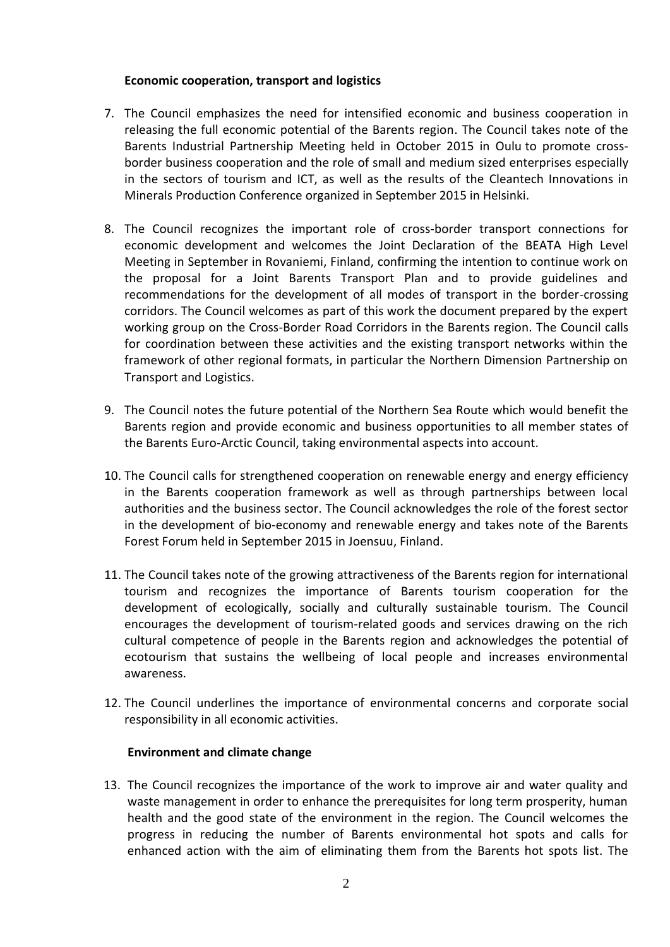# **Economic cooperation, transport and logistics**

- 7. The Council emphasizes the need for intensified economic and business cooperation in releasing the full economic potential of the Barents region. The Council takes note of the Barents Industrial Partnership Meeting held in October 2015 in Oulu to promote crossborder business cooperation and the role of small and medium sized enterprises especially in the sectors of tourism and ICT, as well as the results of the Cleantech Innovations in Minerals Production Conference organized in September 2015 in Helsinki.
- 8. The Council recognizes the important role of cross-border transport connections for economic development and welcomes the Joint Declaration of the BEATA High Level Meeting in September in Rovaniemi, Finland, confirming the intention to continue work on the proposal for a Joint Barents Transport Plan and to provide guidelines and recommendations for the development of all modes of transport in the border-crossing corridors. The Council welcomes as part of this work the document prepared by the expert working group on the Cross-Border Road Corridors in the Barents region. The Council calls for coordination between these activities and the existing transport networks within the framework of other regional formats, in particular the Northern Dimension Partnership on Transport and Logistics.
- 9. The Council notes the future potential of the Northern Sea Route which would benefit the Barents region and provide economic and business opportunities to all member states of the Barents Euro-Arctic Council, taking environmental aspects into account.
- 10. The Council calls for strengthened cooperation on renewable energy and energy efficiency in the Barents cooperation framework as well as through partnerships between local authorities and the business sector. The Council acknowledges the role of the forest sector in the development of bio-economy and renewable energy and takes note of the Barents Forest Forum held in September 2015 in Joensuu, Finland.
- 11. The Council takes note of the growing attractiveness of the Barents region for international tourism and recognizes the importance of Barents tourism cooperation for the development of ecologically, socially and culturally sustainable tourism. The Council encourages the development of tourism-related goods and services drawing on the rich cultural competence of people in the Barents region and acknowledges the potential of ecotourism that sustains the wellbeing of local people and increases environmental awareness.
- 12. The Council underlines the importance of environmental concerns and corporate social responsibility in all economic activities.

### **Environment and climate change**

13. The Council recognizes the importance of the work to improve air and water quality and waste management in order to enhance the prerequisites for long term prosperity, human health and the good state of the environment in the region. The Council welcomes the progress in reducing the number of Barents environmental hot spots and calls for enhanced action with the aim of eliminating them from the Barents hot spots list. The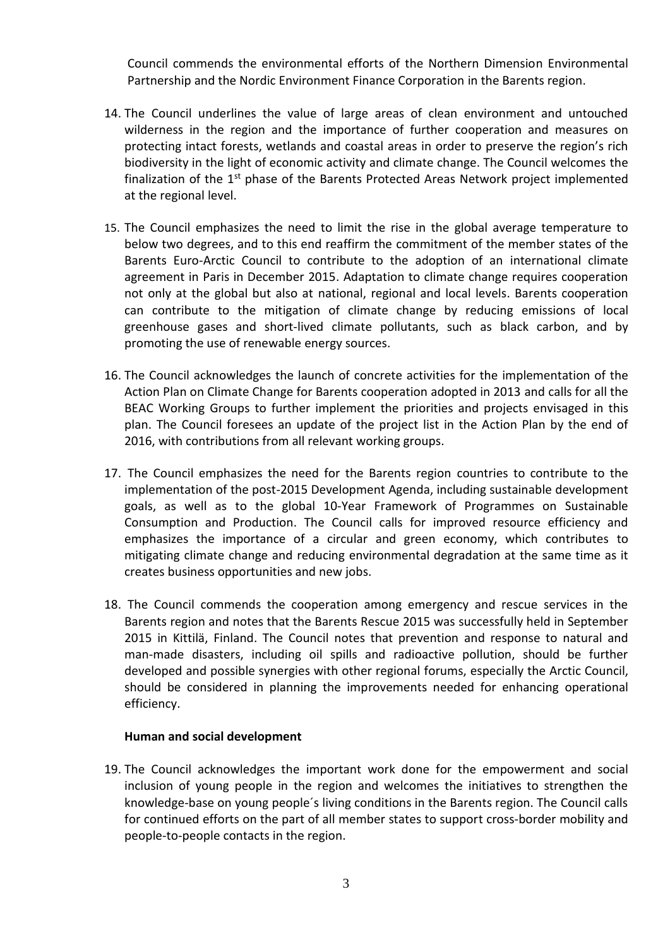Council commends the environmental efforts of the Northern Dimension Environmental Partnership and the Nordic Environment Finance Corporation in the Barents region.

- 14. The Council underlines the value of large areas of clean environment and untouched wilderness in the region and the importance of further cooperation and measures on protecting intact forests, wetlands and coastal areas in order to preserve the region's rich biodiversity in the light of economic activity and climate change. The Council welcomes the finalization of the 1<sup>st</sup> phase of the Barents Protected Areas Network project implemented at the regional level.
- 15. The Council emphasizes the need to limit the rise in the global average temperature to below two degrees, and to this end reaffirm the commitment of the member states of the Barents Euro-Arctic Council to contribute to the adoption of an international climate agreement in Paris in December 2015. Adaptation to climate change requires cooperation not only at the global but also at national, regional and local levels. Barents cooperation can contribute to the mitigation of climate change by reducing emissions of local greenhouse gases and short-lived climate pollutants, such as black carbon, and by promoting the use of renewable energy sources.
- 16. The Council acknowledges the launch of concrete activities for the implementation of the Action Plan on Climate Change for Barents cooperation adopted in 2013 and calls for all the BEAC Working Groups to further implement the priorities and projects envisaged in this plan. The Council foresees an update of the project list in the Action Plan by the end of 2016, with contributions from all relevant working groups.
- 17. The Council emphasizes the need for the Barents region countries to contribute to the implementation of the post-2015 Development Agenda, including sustainable development goals, as well as to the global 10-Year Framework of Programmes on Sustainable Consumption and Production. The Council calls for improved resource efficiency and emphasizes the importance of a circular and green economy, which contributes to mitigating climate change and reducing environmental degradation at the same time as it creates business opportunities and new jobs.
- 18. The Council commends the cooperation among emergency and rescue services in the Barents region and notes that the Barents Rescue 2015 was successfully held in September 2015 in Kittilä, Finland. The Council notes that prevention and response to natural and man-made disasters, including oil spills and radioactive pollution, should be further developed and possible synergies with other regional forums, especially the Arctic Council, should be considered in planning the improvements needed for enhancing operational efficiency.

#### **Human and social development**

19. The Council acknowledges the important work done for the empowerment and social inclusion of young people in the region and welcomes the initiatives to strengthen the knowledge-base on young people´s living conditions in the Barents region. The Council calls for continued efforts on the part of all member states to support cross-border mobility and people-to-people contacts in the region.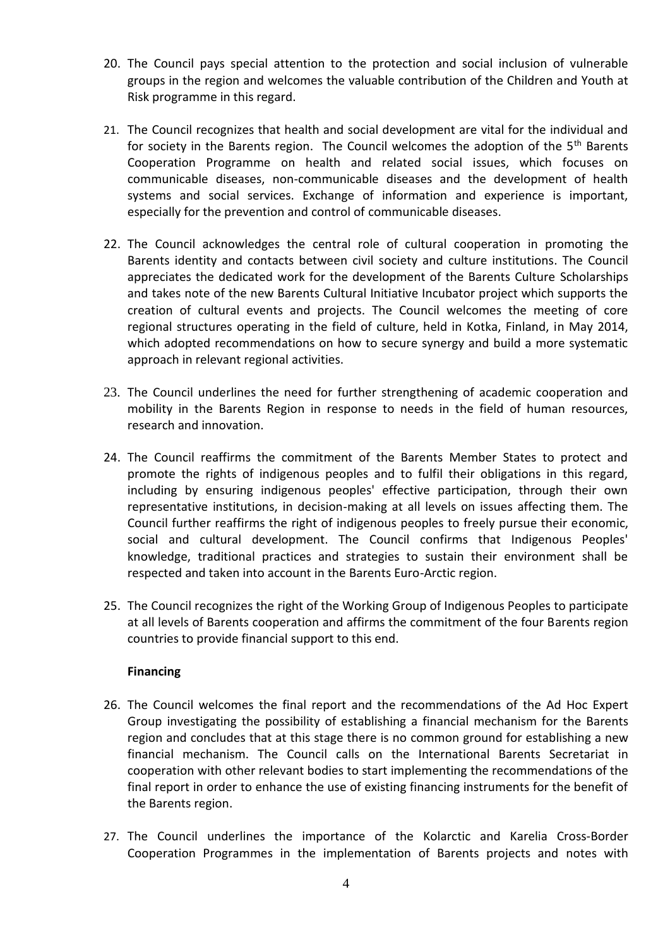- 20. The Council pays special attention to the protection and social inclusion of vulnerable groups in the region and welcomes the valuable contribution of the Children and Youth at Risk programme in this regard.
- 21. The Council recognizes that health and social development are vital for the individual and for society in the Barents region. The Council welcomes the adoption of the 5<sup>th</sup> Barents Cooperation Programme on health and related social issues, which focuses on communicable diseases, non-communicable diseases and the development of health systems and social services. Exchange of information and experience is important, especially for the prevention and control of communicable diseases.
- 22. The Council acknowledges the central role of cultural cooperation in promoting the Barents identity and contacts between civil society and culture institutions. The Council appreciates the dedicated work for the development of the Barents Culture Scholarships and takes note of the new Barents Cultural Initiative Incubator project which supports the creation of cultural events and projects. The Council welcomes the meeting of core regional structures operating in the field of culture, held in Kotka, Finland, in May 2014, which adopted recommendations on how to secure synergy and build a more systematic approach in relevant regional activities.
- 23. The Council underlines the need for further strengthening of academic cooperation and mobility in the Barents Region in response to needs in the field of human resources, research and innovation.
- 24. The Council reaffirms the commitment of the Barents Member States to protect and promote the rights of indigenous peoples and to fulfil their obligations in this regard, including by ensuring indigenous peoples' effective participation, through their own representative institutions, in decision-making at all levels on issues affecting them. The Council further reaffirms the right of indigenous peoples to freely pursue their economic, social and cultural development. The Council confirms that Indigenous Peoples' knowledge, traditional practices and strategies to sustain their environment shall be respected and taken into account in the Barents Euro-Arctic region.
- 25. The Council recognizes the right of the Working Group of Indigenous Peoples to participate at all levels of Barents cooperation and affirms the commitment of the four Barents region countries to provide financial support to this end.

### **Financing**

- 26. The Council welcomes the final report and the recommendations of the Ad Hoc Expert Group investigating the possibility of establishing a financial mechanism for the Barents region and concludes that at this stage there is no common ground for establishing a new financial mechanism. The Council calls on the International Barents Secretariat in cooperation with other relevant bodies to start implementing the recommendations of the final report in order to enhance the use of existing financing instruments for the benefit of the Barents region.
- 27. The Council underlines the importance of the Kolarctic and Karelia Cross-Border Cooperation Programmes in the implementation of Barents projects and notes with